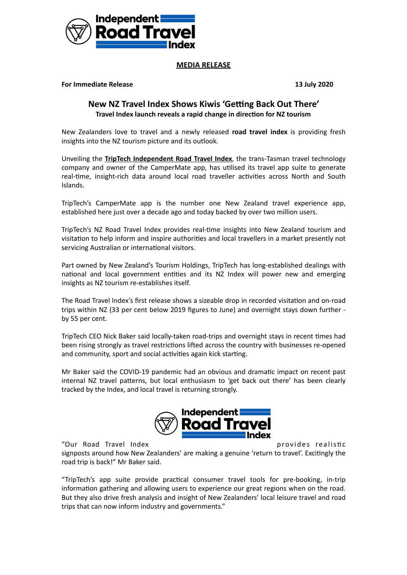

## **MEDIA RELEASE**

**For Immediate Release 13 July 2020** 

## **New NZ Travel Index Shows Kiwis 'Getting Back Out There' Travel Index launch reveals a rapid change in direction for NZ tourism**

New Zealanders love to travel and a newly released **road travel index** is providing fresh insights into the NZ tourism picture and its outlook.

Unveiling the **TripTech Independent Road Travel Index**, the trans-Tasman travel technology company and owner of the CamperMate app, has utilised its travel app suite to generate real-time, insight-rich data around local road traveller activities across North and South Islands.

TripTech's CamperMate app is the number one New Zealand travel experience app, established here just over a decade ago and today backed by over two million users.

TripTech's NZ Road Travel Index provides real-time insights into New Zealand tourism and visitation to help inform and inspire authorities and local travellers in a market presently not servicing Australian or international visitors.

Part owned by New Zealand's Tourism Holdings, TripTech has long-established dealings with national and local government entities and its NZ Index will power new and emerging insights as NZ tourism re-establishes itself.

The Road Travel Index's first release shows a sizeable drop in recorded visitation and on-road trips within NZ (33 per cent below 2019 figures to June) and overnight stays down further by 55 per cent.

TripTech CEO Nick Baker said locally-taken road-trips and overnight stays in recent times had been rising strongly as travel restrictions lifted across the country with businesses re-opened and community, sport and social activities again kick starting.

Mr Baker said the COVID-19 pandemic had an obvious and dramatic impact on recent past internal NZ travel patterns, but local enthusiasm to 'get back out there' has been clearly tracked by the Index, and local travel is returning strongly.



"Our Road Travel Index extended to the second provides realistic

signposts around how New Zealanders' are making a genuine 'return to travel'. Excitingly the road trip is back!" Mr Baker said.

"TripTech's app suite provide practical consumer travel tools for pre-booking, in-trip information gathering and allowing users to experience our great regions when on the road. But they also drive fresh analysis and insight of New Zealanders' local leisure travel and road trips that can now inform industry and governments."